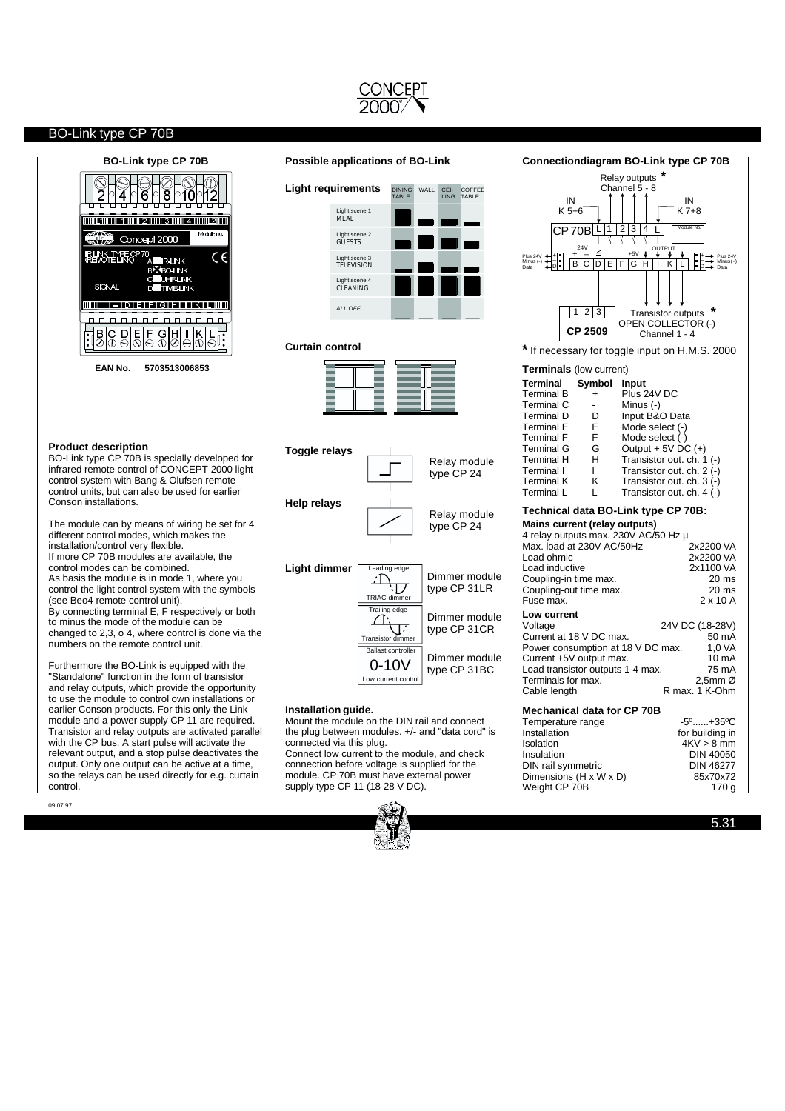

#### **Product description**

BO-Link type CP 70B is specially developed for infrared remote control of CONCEPT 2000 light control system with Bang & Olufsen remote control units, but can also be used for earlier Conson installations.

The module can by means of wiring be set for 4 different control modes, which makes the installation/control very flexible. If more CP 70B modules are available, the control modes can be combined. As basis the module is in mode 1, where you control the light control system with the symbols (see Beo4 remote control unit). By connecting terminal E, F respectively or both to minus the mode of the module can be changed to 2,3, o 4, where control is done via the numbers on the remote control unit.

Furthermore the BO-Link is equipped with the "Standalone" function in the form of transistor and relay outputs, which provide the opportunity to use the module to control own installations or earlier Conson products. For this only the Link module and a power supply CP 11 are required. Transistor and relay outputs are activated parallel with the CP bus. A start pulse will activate the relevant output, and a stop pulse deactivates the output. Only one output can be active at a time. so the relays can be used directly for e.g. curtain control.

09.07.97

## **BO-Link type CP 70B Possible applications of BO-Link**



#### **Curtain control**





#### **Installation guide.**

Mount the module on the DIN rail and connect the plug between modules. +/- and "data cord" is connected via this plug. Connect low current to the module, and check

connection before voltage is supplied for the module. CP 70B must have external power supply type CP 11 (18-28 V DC).



#### **Connectiondiagram BO-Link type CP 70B**



| Temperature range      | -0- <del>.</del> 00-0 |
|------------------------|-----------------------|
| Installation           | for building in       |
| <b>Isolation</b>       | $4KV > 8$ mm          |
| Insulation             | DIN 40050             |
| DIN rail symmetric     | <b>DIN 46277</b>      |
| Dimensions (H x W x D) | 85x70x72              |
| Weight CP 70B          | 170 a                 |

5.31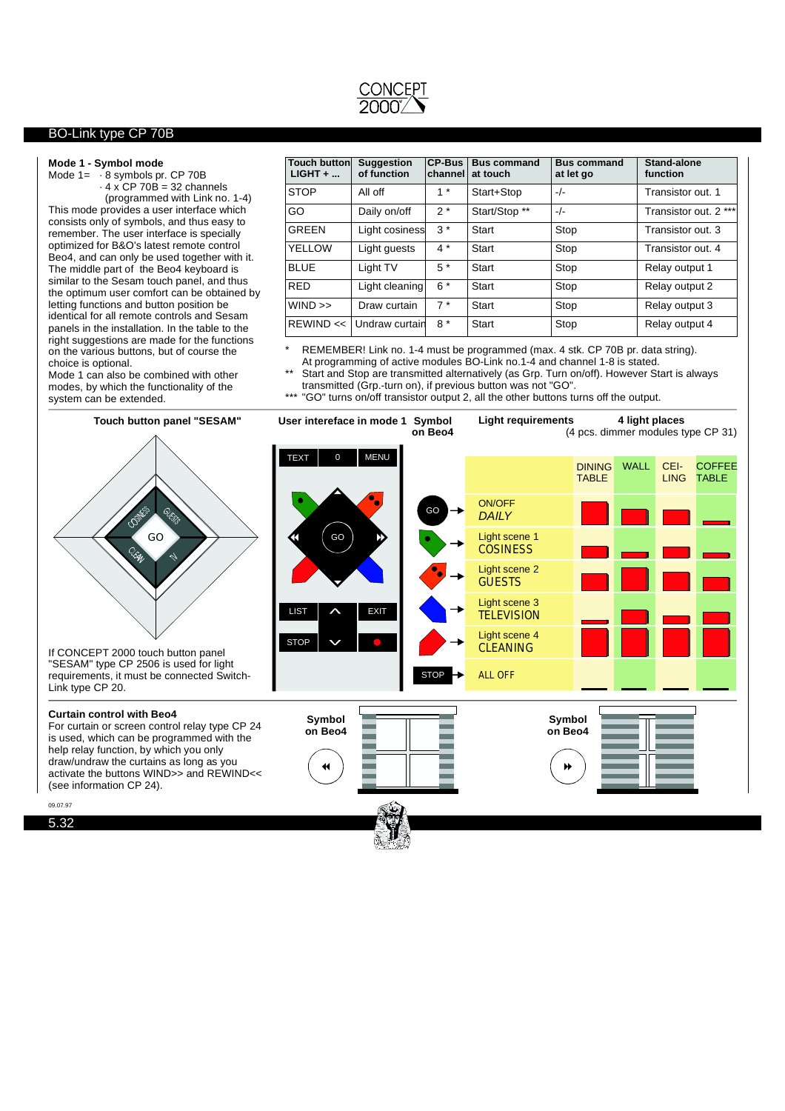

#### **Mode1- Symbol mode**

Mode  $1 = -8$  symbols pr. CP 70B ·4x CP 70B = 32 channels

(programmed with Link no. 1-4) This mode provides a user interface which consists only of symbols, and thus easy to remember. The user interface is specially optimized for B&O's latest remote control Beo4, and can only be used together with it. The middle part of the Beo4 keyboard is similar to the Sesam touch panel, and thus the optimum user comfort can be obtained by letting functions and button position be identical for all remote controls and Sesam panels in the installation. In the table to the right suggestions are made for the functions on the various buttons, but of course the choice is optional.

Mode 1 can also be combined with other modes, by which the functionality of the system can be extended.

| <b>Touch button</b><br>$LIGHT + $ | <b>Suggestion</b><br>of function | <b>CP-Bus</b><br>channel | <b>Bus command</b><br>at touch | <b>Bus command</b><br>at let go | Stand-alone<br>function |
|-----------------------------------|----------------------------------|--------------------------|--------------------------------|---------------------------------|-------------------------|
| <b>STOP</b>                       | All off                          | $1 *$                    | Start+Stop                     | $-/-$                           | Transistor out. 1       |
| GO                                | Daily on/off                     | $2*$                     | Start/Stop **                  | $-/-$                           | Transistor out. 2 ***   |
| GRFFN                             | Light cosiness                   | $3*$                     | Start                          | Stop                            | Transistor out. 3       |
| <b>YELLOW</b>                     | Light quests                     | $4^*$                    | Start                          | Stop                            | Transistor out. 4       |
| <b>BLUE</b>                       | Light TV                         | $5*$                     | Start                          | Stop                            | Relay output 1          |
| <b>RED</b>                        | Light cleaning                   | $6*$                     | Start                          | Stop                            | Relay output 2          |
| WIND >>                           | Draw curtain                     | $7*$                     | Start                          | Stop                            | Relay output 3          |
| REWIND <<                         | Undraw curtain                   | $8*$                     | Start                          | Stop                            | Relay output 4          |

\* REMEMBER! Link no. 1-4 must be programmed (max. 4 stk. CP 70B pr. data string). At programming of active modules BO-Link no.1-4 and channel 1-8 is stated.

Start and Stop are transmitted alternatively (as Grp. Turn on/off). However Start is always transmitted (Grp.-turn on), if previous button was not "GO".

\*\*\* "GO" turns on/off transistor output 2, all the other buttons turns off the output.



5.32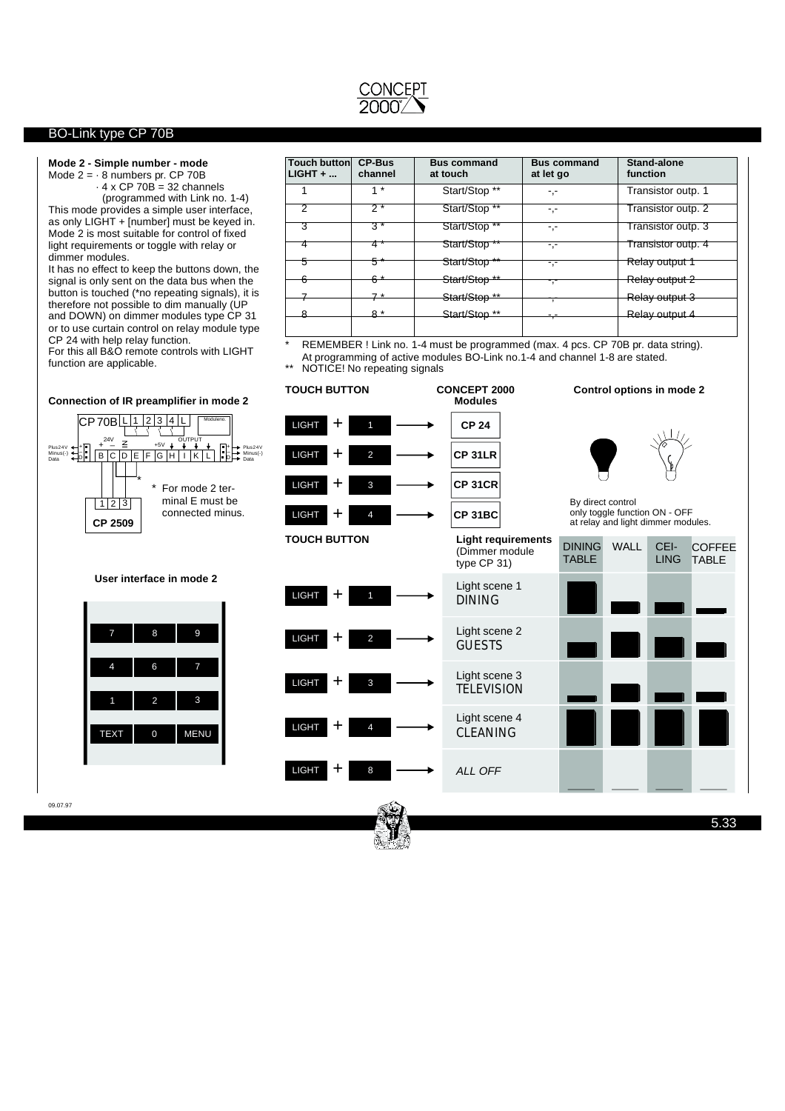

## **Mode2- Simple number - mode**

Mode  $2 = -8$  numbers pr. CP 70B  $\cdot$  4 x CP 70B = 32 channels

This mode provides a simple user interface, as only LIGHT + [number] must be keyed in. Mode 2 is most suitable for control of fixed light requirements or toggle with relay or dimmer modules. (programmed with Link no. 1-4)

It has no effect to keep the buttons down, the signal is only sent on the data bus when the button is touched (\*no repeating signals), it is therefore not possible to dim manually (UP and DOWN) on dimmer modules type CP 31 or to use curtain control on relay module type CP 24 with help relay function.

For this all B&O remote controls with LIGHT function are applicable.

| Touch button<br>$LIGHT + $ | <b>CP-Bus</b><br>channel | <b>Bus command</b><br>at touch | <b>Bus command</b><br>at let go | Stand-alone<br>function |
|----------------------------|--------------------------|--------------------------------|---------------------------------|-------------------------|
|                            | $1 *$                    | Start/Stop **                  | -,-                             | Transistor outp. 1      |
| ヮ                          | $\overline{2^*}$         | Start/Stop **                  | -,-                             | Transistor outp. 2      |
| 3                          | $3*$                     | Start/Stop **                  | -,-                             | Transistor outp. 3      |
|                            | 4 *                      | Start/Stop **                  | -,-                             | Transistor outp. 4      |
| 5                          | 5                        | Start/Stop <sup>**</sup>       | -.-                             | Relay output 1          |
| Բ                          |                          | Start/Stop <sup>**</sup>       | -,-                             | Relay output 2          |
|                            | $7*$                     | Start/Stop **                  | 7                               | Relay output 3          |
|                            | $8*$                     | Start/Stop **                  | - -<br>┯                        | Relay output 4          |
|                            |                          |                                |                                 |                         |

REMEMBER ! Link no. 1-4 must be programmed (max. 4 pcs. CP 70B pr. data string). At programming of active modules BO-Link no.1-4 and channel 1-8 are stated. \*\* NOTICE! No repeating signals

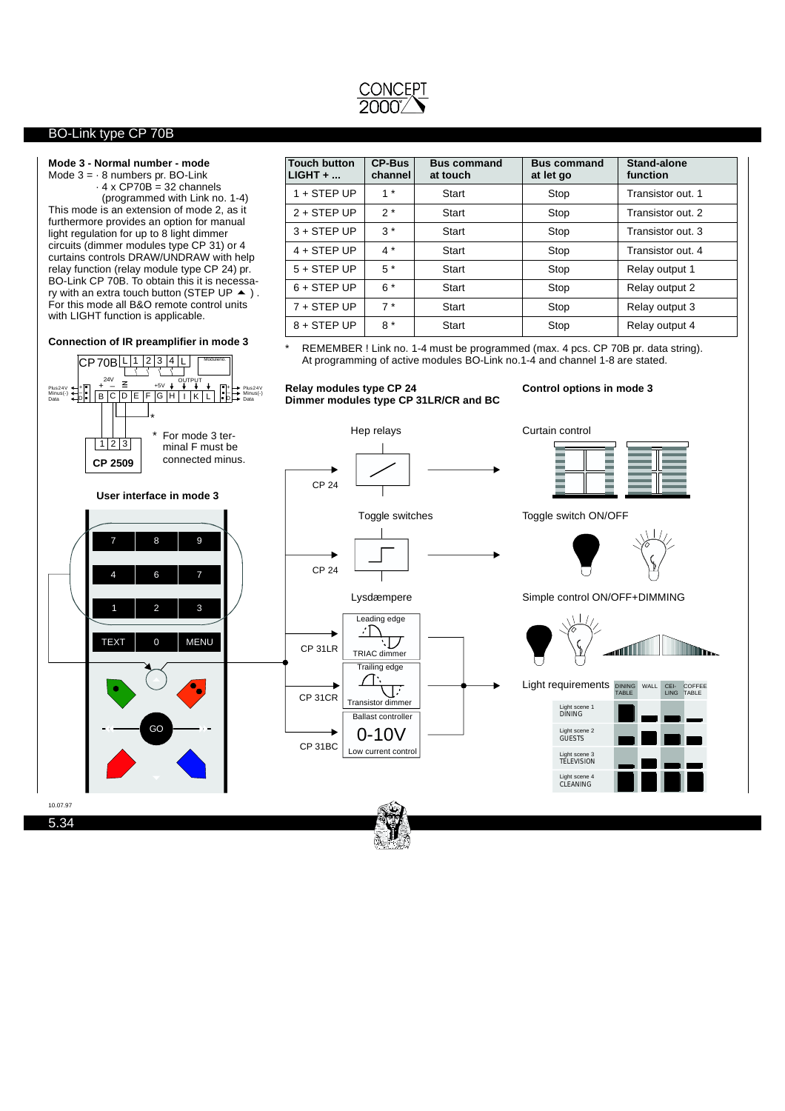

 $+$ <br> $-$ <br>D

Minus(-) Data

+ \_ 24V

 $P_{\text{Ius24V}} + |+|7| + - \leq +50$ 

CP 70BLL 1 2 3 4 L

B C D E F G H I K L

**Connection of IR preamplifier in mode 3**

#### **Mode3- Normal number - mode**

Mode  $3 = -8$  numbers pr. BO-Link  $\cdot$  4 x CP70B = 32 channels

(programmed with Link no. 1-4) This mode is an extension of mode 2, as it furthermore provides an option for manual light regulation for up to 8 light dimmer circuits (dimmer modules type CP 31) or 4 curtains controls DRAW/UNDRAW with help relay function (relay module type CP 24) pr. BO-Link CP 70B. To obtain this it is necessary with an extra touch button (STEP UP  $\blacktriangle$  ). For this mode all B&O remote control units with LIGHT function is applicable.

Moduleno.

OUTPUT

+ \_ D Plus24V Minus(-) Data

| Touch button<br>LIGHT + | <b>CP-Bus</b><br>channel | <b>Bus command</b><br>at touch | <b>Bus command</b><br>at let go | <b>Stand-alone</b><br>function |
|-------------------------|--------------------------|--------------------------------|---------------------------------|--------------------------------|
| $1 +$ STEP UP           | $1 *$                    | Start                          | Stop                            | Transistor out. 1              |
| $2 +$ STEP UP           | $2*$                     | Start                          | Stop                            | Transistor out. 2              |
| $3 +$ STEP UP           | $3*$                     | Start                          | Stop                            | Transistor out, 3              |
| $4 +$ STEP UP           | $4*$                     | Start                          | Stop                            | Transistor out, 4              |
| $5 +$ STEP UP           | $5*$                     | Start                          | Stop                            | Relay output 1                 |
| $6 +$ STEP UP           | $6*$                     | Start                          | Stop                            | Relay output 2                 |
| $7 +$ STEP UP           | $7*$                     | Start                          | Stop                            | Relay output 3                 |
| $8 +$ STEP UP           | $8*$                     | Start                          | Stop                            | Relay output 4                 |

REMEMBER ! Link no. 1-4 must be programmed (max. 4 pcs. CP 70B pr. data string). At programming of active modules BO-Link no.1-4 and channel 1-8 are stated.

**Relay modules type CP 24 Dimmer modules type CP 31LR/CR and BC**

## **Control options in mode 3**

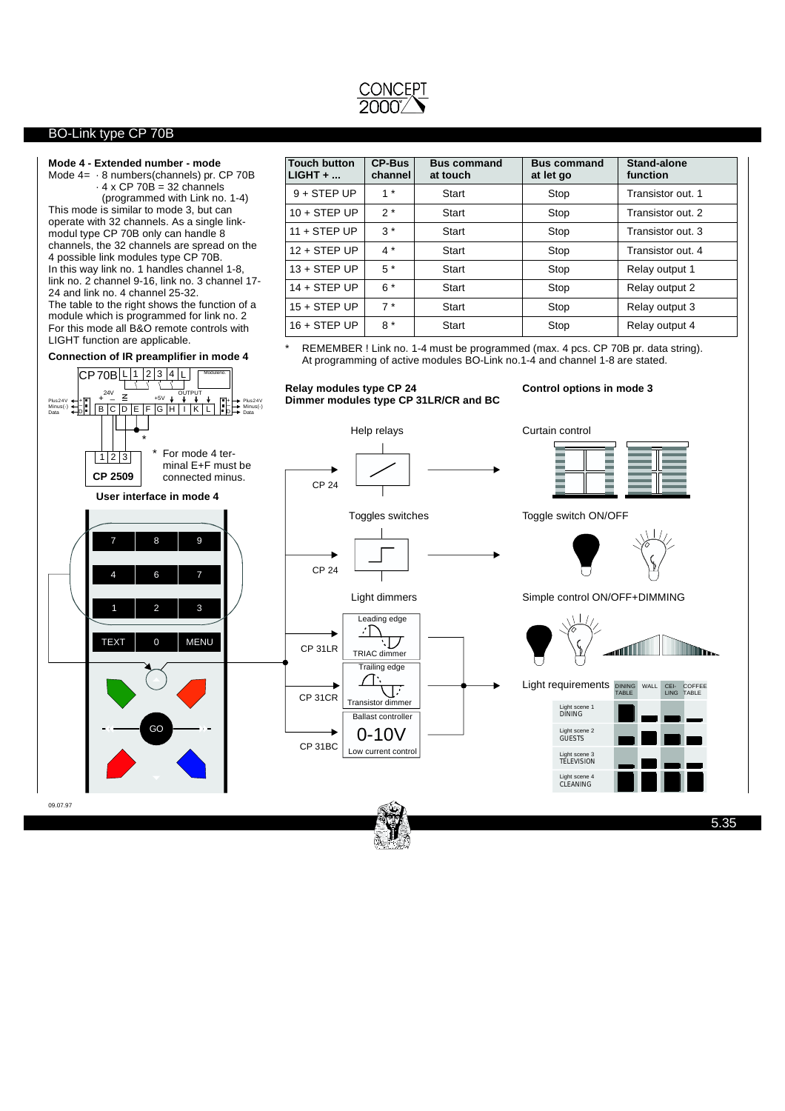